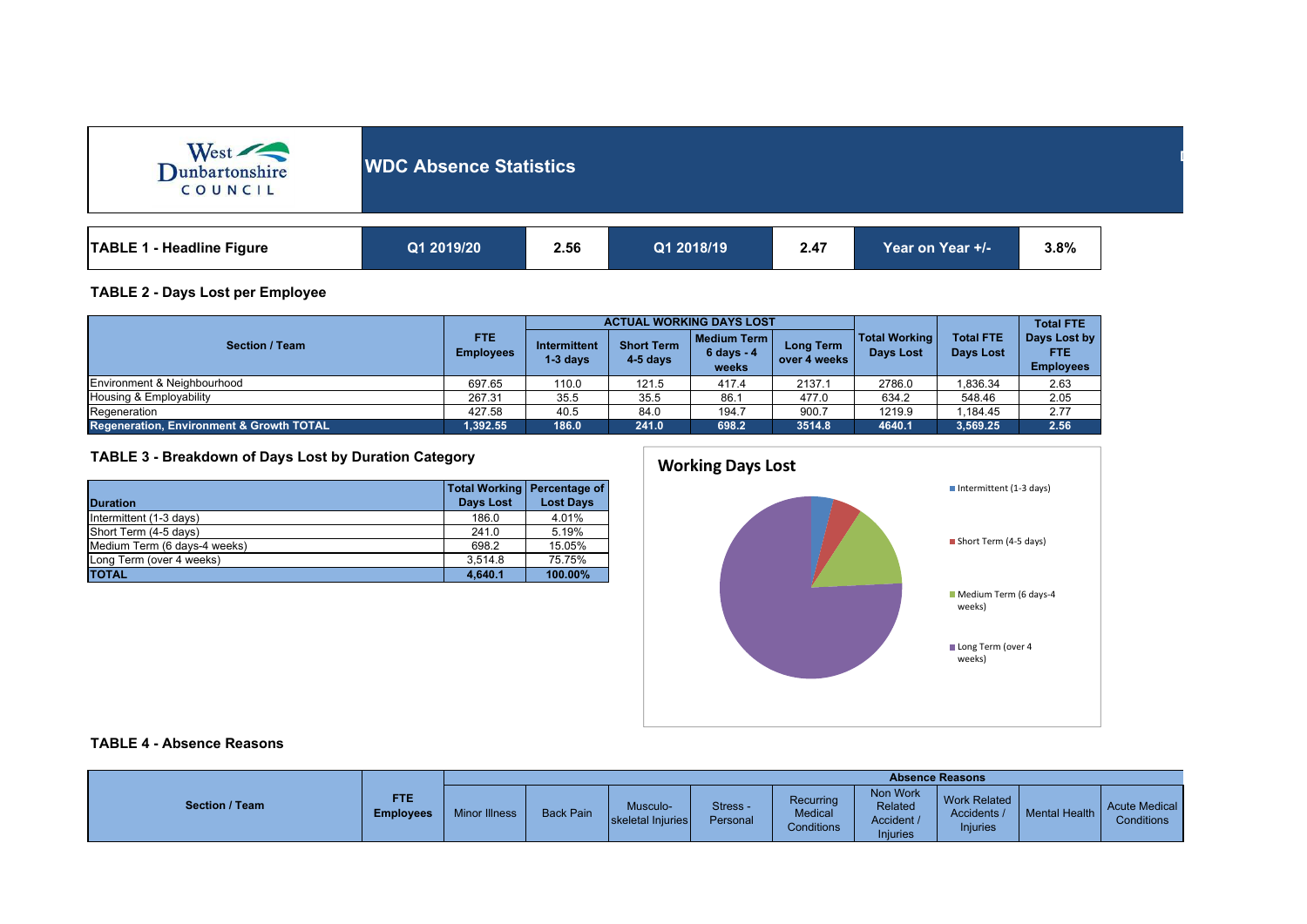| West<br>COUNCIL                  | <b>WDC Absence Statistics</b> |      |            |      |                  |      |  |  |
|----------------------------------|-------------------------------|------|------------|------|------------------|------|--|--|
| <b>TABLE 1 - Headline Figure</b> | Q1 2019/20                    | 2.56 | Q1 2018/19 | 2.47 | Year on Year +/- | 3.8% |  |  |

### **TABLE 2 - Days Lost per Employee**

|                                          |                                |                                   |                                 | <b>ACTUAL WORKING DAYS LOST</b>           |                           |                                          | <b>Total FTE</b>                     |                                                |
|------------------------------------------|--------------------------------|-----------------------------------|---------------------------------|-------------------------------------------|---------------------------|------------------------------------------|--------------------------------------|------------------------------------------------|
| <b>Section / Team</b>                    | <b>FTE</b><br><b>Employees</b> | <b>Intermittent</b><br>$1-3$ days | <b>Short Term</b><br>$4-5$ days | Medium Term I<br>$6 \, days - 4$<br>weeks | Long Term<br>over 4 weeks | <b>Total Working</b><br><b>Davs Lost</b> | <b>Total FTE</b><br><b>Days Lost</b> | Days Lost by<br><b>FTE</b><br><b>Employees</b> |
| Environment & Neighbourhood              | 697.65                         | 110.0                             | 121.5                           | 417.4                                     | 2137.1                    | 2786.0                                   | .836.34                              | 2.63                                           |
| Housing & Employability                  | 267.31                         | 35.5                              | 35.5                            | 86.7                                      | 477.0                     | 634.2                                    | 548.46                               | 2.05                                           |
| Regeneration                             | 427.58                         | 40.5                              | 84.0                            | 194.7                                     | 900.7                     | 1219.9                                   | .184.45                              | 2.77                                           |
| Regeneration, Environment & Growth TOTAL | 1.392.55                       | 186.0                             | 241.0                           | 698.2                                     | 3514.8                    | 4640.1                                   | 3,569.25                             | 2.56                                           |

## **TABLE 3 - Breakdown of Days Lost by Duration Category**

|                              | Total Working   Percentage of |                  |
|------------------------------|-------------------------------|------------------|
| <b>Duration</b>              | Days Lost                     | <b>Lost Days</b> |
| Intermittent (1-3 days)      | 186.0                         | 4.01%            |
| Short Term (4-5 days)        | 241.0                         | 5.19%            |
| Medium Term (6 days-4 weeks) | 698.2                         | 15.05%           |
| Long Term (over 4 weeks)     | 3.514.8                       | 75.75%           |
| <b>TOTAL</b>                 | 4,640.1                       | 100.00%          |



**Department:**

# **TABLE 4 - Absence Reasons**

|                       |                                | <b>Absence Reasons</b> |                  |                              |                      |                                           |                                                      |                                                       |                      |                                           |
|-----------------------|--------------------------------|------------------------|------------------|------------------------------|----------------------|-------------------------------------------|------------------------------------------------------|-------------------------------------------------------|----------------------|-------------------------------------------|
| <b>Section / Team</b> | <b>FTE</b><br><b>Employees</b> | <b>Minor Illness</b>   | <b>Back Pain</b> | Musculo<br>skeletal Injuries | Stress -<br>Personal | Recurring<br><b>Medical</b><br>Conditions | Non Work<br>Related<br>Accident /<br><b>Injuries</b> | <b>Work Related</b><br>Accidents /<br><b>Injuries</b> | <b>Mental Health</b> | <b>Acute Medical</b><br><b>Conditions</b> |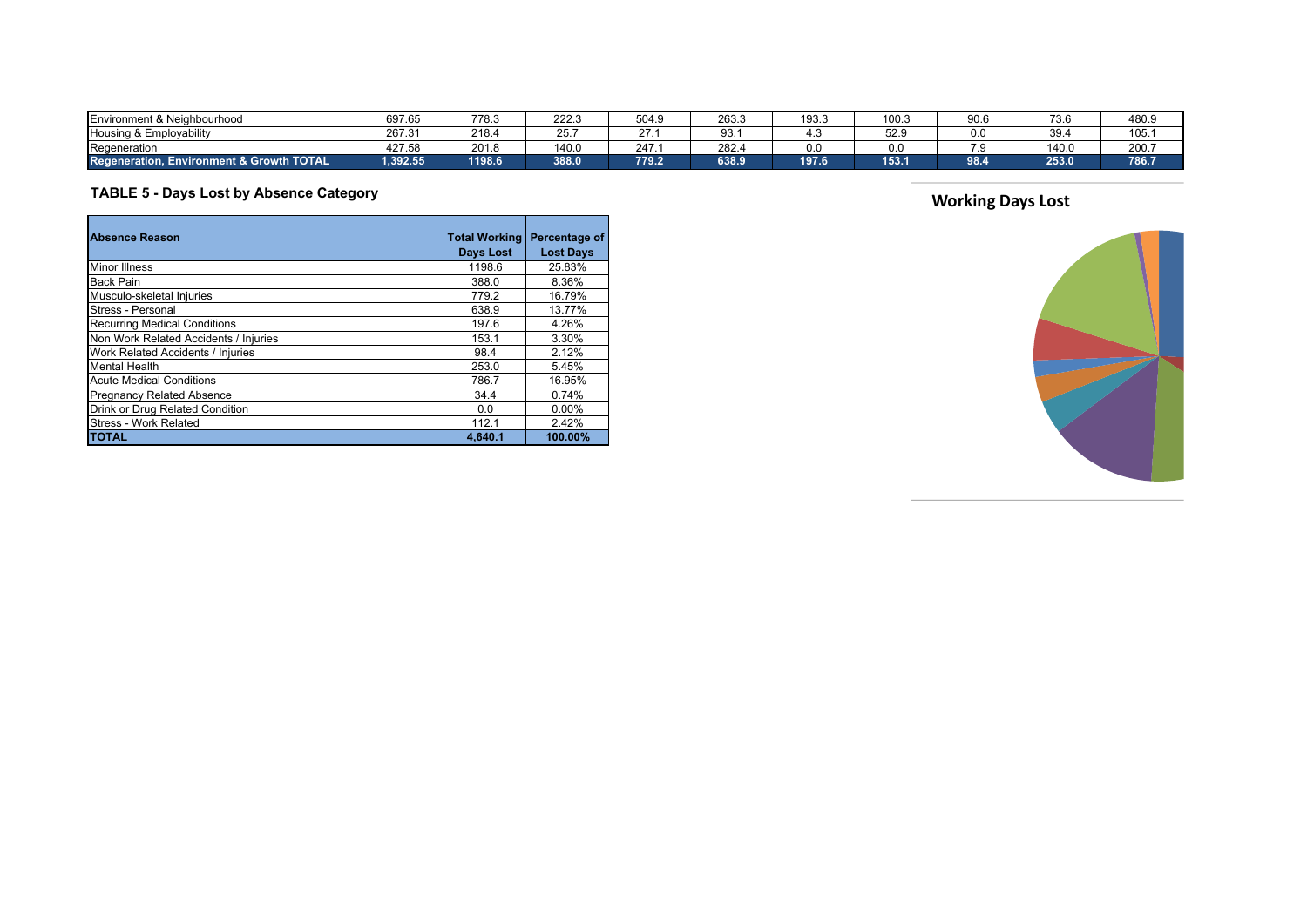| Environment & Neighbourhood                   | 697.65   | 778.3                    | 222.       | 504.9 | 263.3 | 193.0 | 100.3 | 90.6 | 73.6  | 480.9 |
|-----------------------------------------------|----------|--------------------------|------------|-------|-------|-------|-------|------|-------|-------|
| Housing & Employability                       | 267.31   | 218.4                    | OE.<br>. ب | 27    | 93.   |       | 52.9  | 0.0  | 39.   | 105.  |
| Regeneration                                  | 427.58   | 0 <sup>0</sup><br>ZU 1.8 | 140<br>ーいい | 247   | 282.4 | 0.0   | 0.0   |      | 140.0 | 200.7 |
| Regene<br>eration. Environment & Growth TOTAL | 1.392.55 | 1198.6                   | 388.0      | 779.2 | 638.9 | 197.6 | 153.1 | 98.4 | 253.0 | 786.7 |

# **TABLE 5 - Days Lost by Absence Category**

| <b>Absence Reason</b>                 | <b>Total Working</b><br>Days Lost | Percentage of<br><b>Lost Days</b> |
|---------------------------------------|-----------------------------------|-----------------------------------|
| <b>Minor Illness</b>                  | 1198.6                            | 25.83%                            |
| <b>Back Pain</b>                      | 388.0                             | 8.36%                             |
| Musculo-skeletal Injuries             | 779.2                             | 16.79%                            |
| Stress - Personal                     | 638.9                             | 13.77%                            |
| <b>Recurring Medical Conditions</b>   | 197.6                             | 4.26%                             |
| Non Work Related Accidents / Injuries | 153.1                             | 3.30%                             |
| Work Related Accidents / Injuries     | 98.4                              | 2.12%                             |
| Mental Health                         | 253.0                             | 5.45%                             |
| <b>Acute Medical Conditions</b>       | 786.7                             | 16.95%                            |
| <b>Pregnancy Related Absence</b>      | 34.4                              | 0.74%                             |
| Drink or Drug Related Condition       | 0.0                               | $0.00\%$                          |
| Stress - Work Related                 | 112.1                             | 2.42%                             |
| <b>TOTAL</b>                          | 4,640.1                           | 100.00%                           |



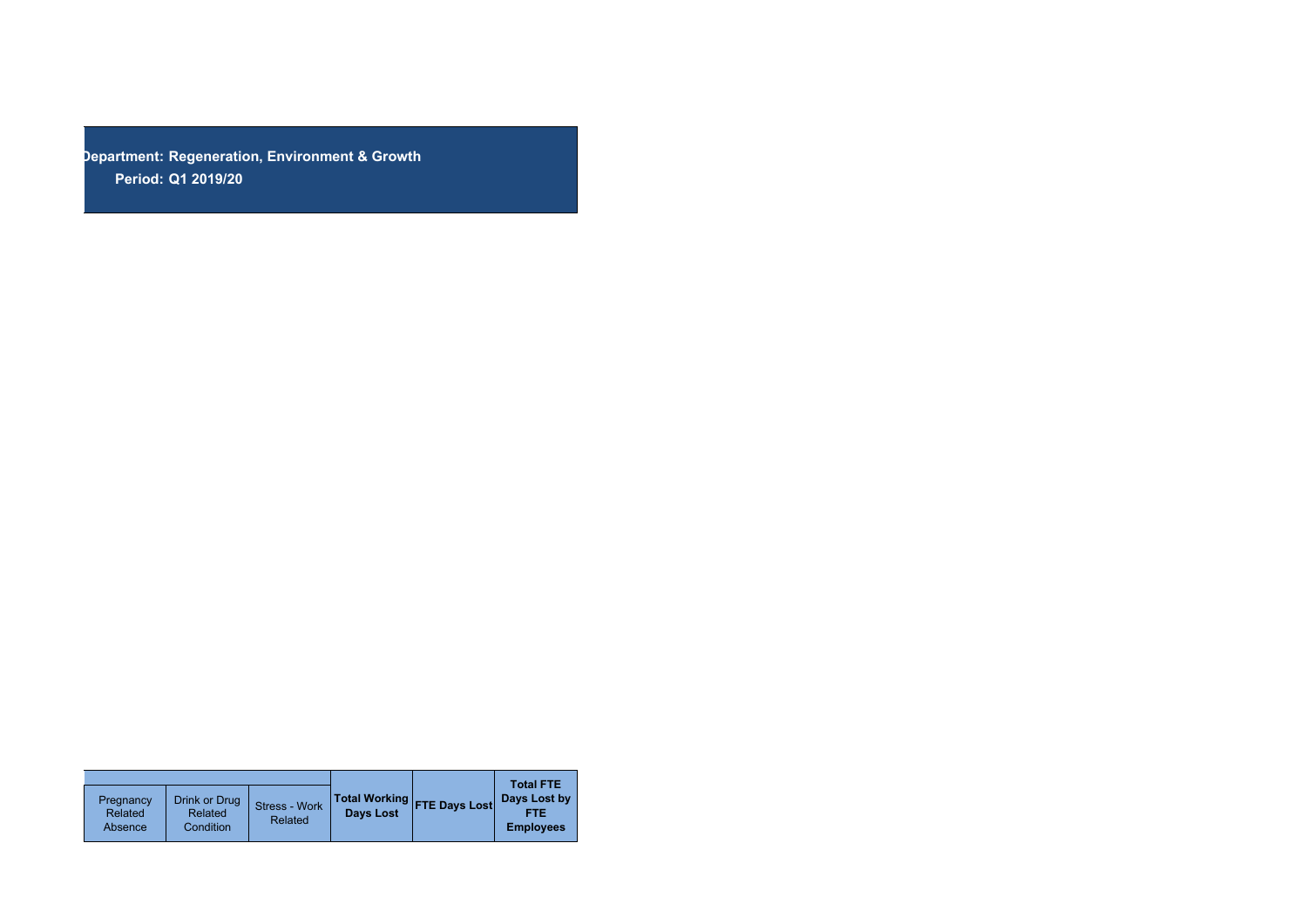**Department: Regeneration, Environment & GrowthPeriod: Q1 2019/20**

| Pregnancy<br>Related<br>Absence | Drink or Drug<br>Related<br>Condition | Stress - Work<br>Related | <b>Days Lost</b> | Total Working FTE Days Lost | <b>Total FTE</b><br>Days Lost by<br>FTE<br><b>Employees</b> |
|---------------------------------|---------------------------------------|--------------------------|------------------|-----------------------------|-------------------------------------------------------------|
|                                 |                                       |                          |                  |                             |                                                             |